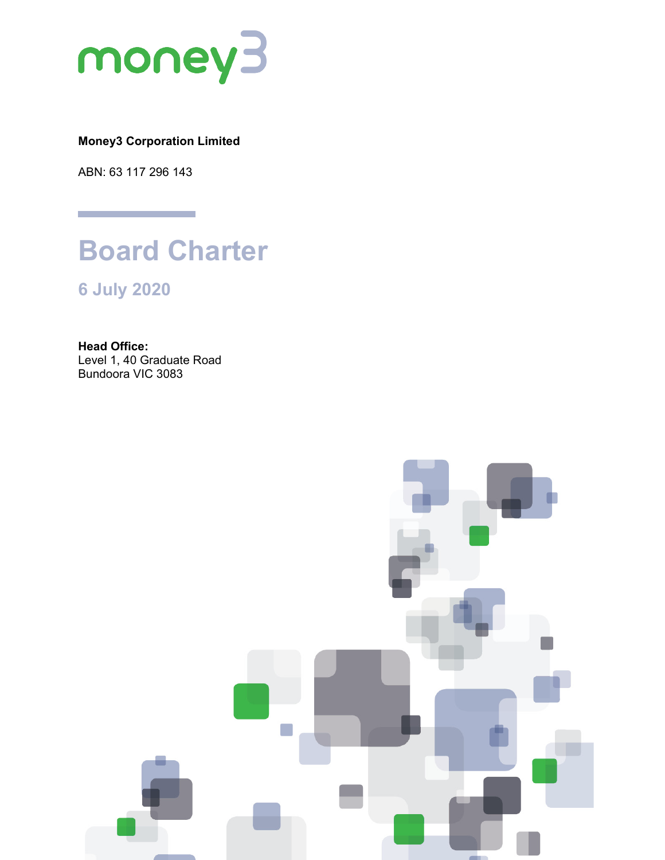

# **Money3 Corporation Limited**

ABN: 63 117 296 143



**6 July 2020**

**Head Office:** Level 1, 40 Graduate Road Bundoora VIC 3083

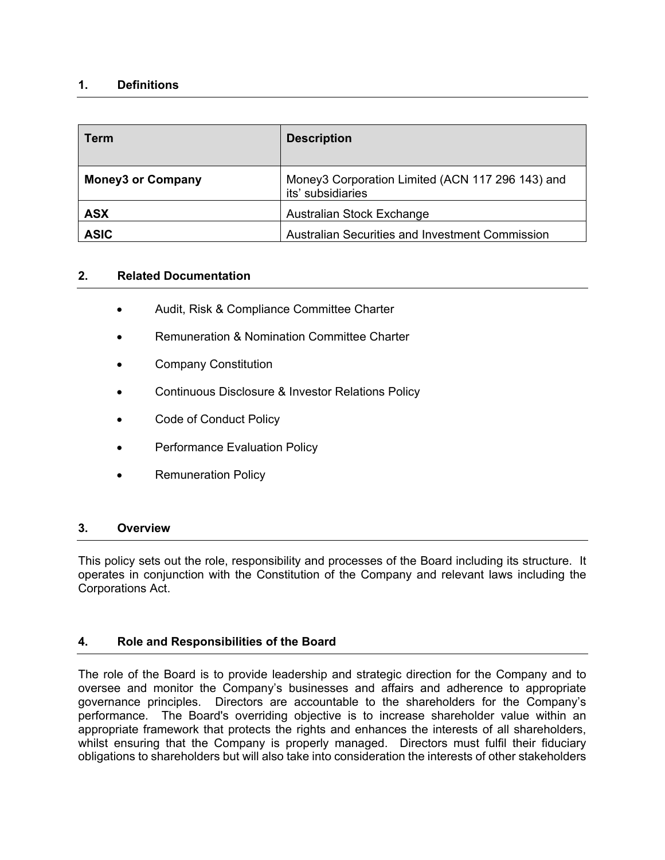# **1. Definitions**

| <b>Term</b>              | <b>Description</b>                                                    |
|--------------------------|-----------------------------------------------------------------------|
| <b>Money3 or Company</b> | Money3 Corporation Limited (ACN 117 296 143) and<br>its' subsidiaries |
| <b>ASX</b>               | Australian Stock Exchange                                             |
| <b>ASIC</b>              | <b>Australian Securities and Investment Commission</b>                |

#### **2. Related Documentation**

- Audit, Risk & Compliance Committee Charter
- Remuneration & Nomination Committee Charter
- Company Constitution
- Continuous Disclosure & Investor Relations Policy
- Code of Conduct Policy
- Performance Evaluation Policy
- Remuneration Policy

#### **3. Overview**

This policy sets out the role, responsibility and processes of the Board including its structure. It operates in conjunction with the Constitution of the Company and relevant laws including the Corporations Act.

# **4. Role and Responsibilities of the Board**

The role of the Board is to provide leadership and strategic direction for the Company and to oversee and monitor the Company's businesses and affairs and adherence to appropriate governance principles. Directors are accountable to the shareholders for the Company's performance. The Board's overriding objective is to increase shareholder value within an appropriate framework that protects the rights and enhances the interests of all shareholders, whilst ensuring that the Company is properly managed. Directors must fulfil their fiduciary obligations to shareholders but will also take into consideration the interests of other stakeholders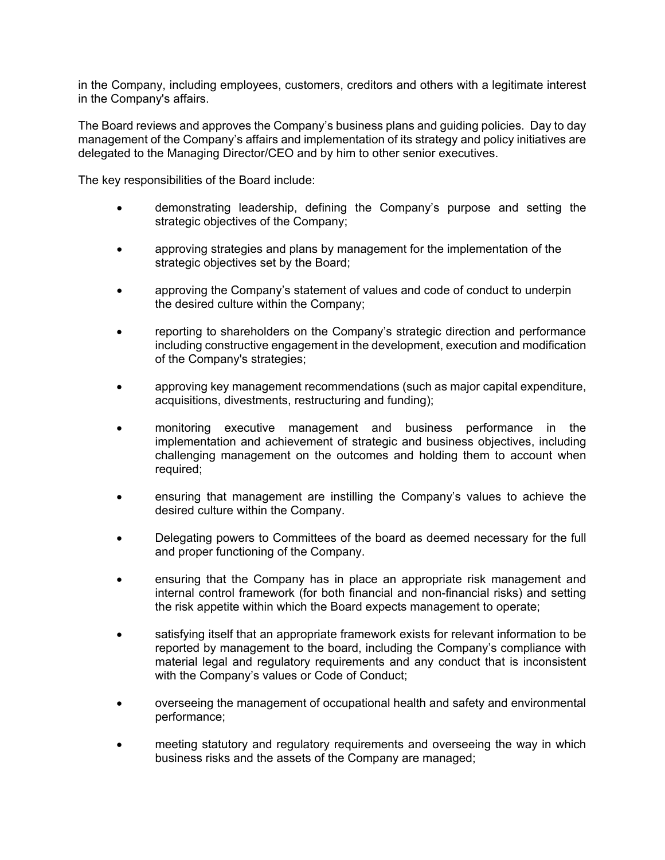in the Company, including employees, customers, creditors and others with a legitimate interest in the Company's affairs.

The Board reviews and approves the Company's business plans and guiding policies. Day to day management of the Company's affairs and implementation of its strategy and policy initiatives are delegated to the Managing Director/CEO and by him to other senior executives.

The key responsibilities of the Board include:

- demonstrating leadership, defining the Company's purpose and setting the strategic objectives of the Company;
- approving strategies and plans by management for the implementation of the strategic objectives set by the Board;
- approving the Company's statement of values and code of conduct to underpin the desired culture within the Company;
- reporting to shareholders on the Company's strategic direction and performance including constructive engagement in the development, execution and modification of the Company's strategies;
- approving key management recommendations (such as major capital expenditure, acquisitions, divestments, restructuring and funding);
- monitoring executive management and business performance in the implementation and achievement of strategic and business objectives, including challenging management on the outcomes and holding them to account when required;
- ensuring that management are instilling the Company's values to achieve the desired culture within the Company.
- Delegating powers to Committees of the board as deemed necessary for the full and proper functioning of the Company.
- ensuring that the Company has in place an appropriate risk management and internal control framework (for both financial and non-financial risks) and setting the risk appetite within which the Board expects management to operate;
- satisfying itself that an appropriate framework exists for relevant information to be reported by management to the board, including the Company's compliance with material legal and regulatory requirements and any conduct that is inconsistent with the Company's values or Code of Conduct;
- overseeing the management of occupational health and safety and environmental performance;
- meeting statutory and regulatory requirements and overseeing the way in which business risks and the assets of the Company are managed;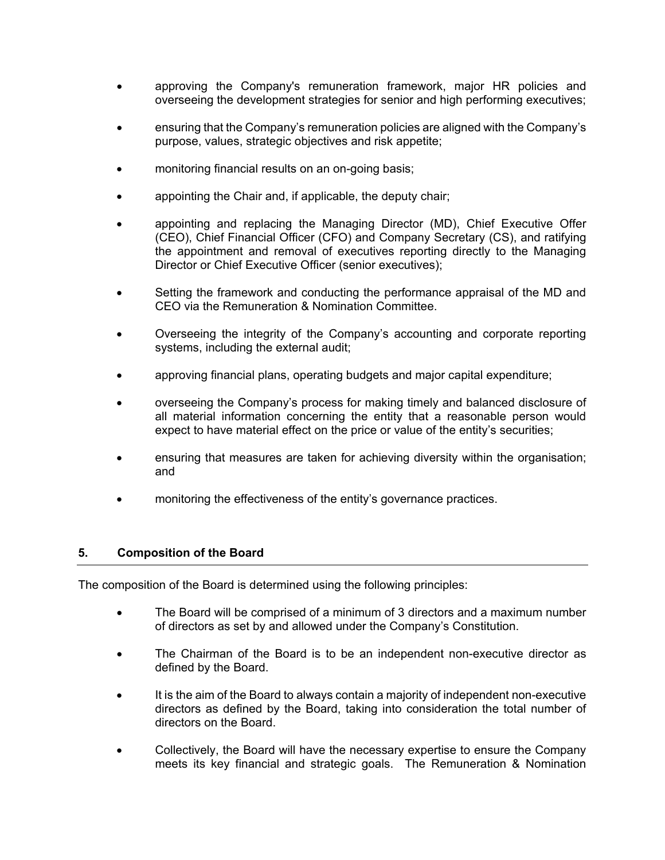- approving the Company's remuneration framework, major HR policies and overseeing the development strategies for senior and high performing executives;
- ensuring that the Company's remuneration policies are aligned with the Company's purpose, values, strategic objectives and risk appetite;
- monitoring financial results on an on-going basis;
- appointing the Chair and, if applicable, the deputy chair;
- appointing and replacing the Managing Director (MD), Chief Executive Offer (CEO), Chief Financial Officer (CFO) and Company Secretary (CS), and ratifying the appointment and removal of executives reporting directly to the Managing Director or Chief Executive Officer (senior executives);
- Setting the framework and conducting the performance appraisal of the MD and CEO via the Remuneration & Nomination Committee.
- Overseeing the integrity of the Company's accounting and corporate reporting systems, including the external audit;
- approving financial plans, operating budgets and major capital expenditure;
- overseeing the Company's process for making timely and balanced disclosure of all material information concerning the entity that a reasonable person would expect to have material effect on the price or value of the entity's securities;
- ensuring that measures are taken for achieving diversity within the organisation; and
- monitoring the effectiveness of the entity's governance practices.

# **5. Composition of the Board**

The composition of the Board is determined using the following principles:

- The Board will be comprised of a minimum of 3 directors and a maximum number of directors as set by and allowed under the Company's Constitution.
- The Chairman of the Board is to be an independent non-executive director as defined by the Board.
- It is the aim of the Board to always contain a majority of independent non-executive directors as defined by the Board, taking into consideration the total number of directors on the Board.
- Collectively, the Board will have the necessary expertise to ensure the Company meets its key financial and strategic goals. The Remuneration & Nomination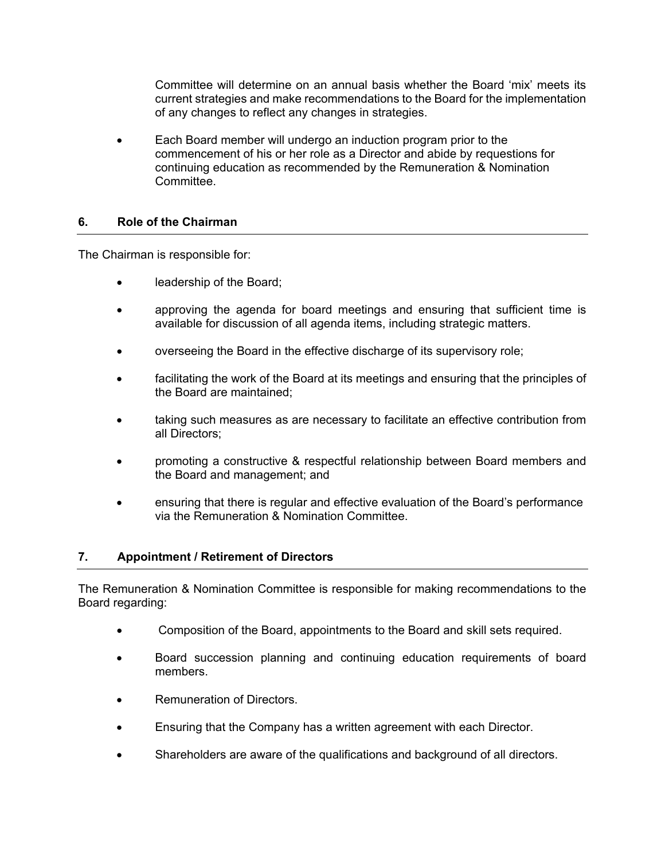Committee will determine on an annual basis whether the Board 'mix' meets its current strategies and make recommendations to the Board for the implementation of any changes to reflect any changes in strategies.

• Each Board member will undergo an induction program prior to the commencement of his or her role as a Director and abide by requestions for continuing education as recommended by the Remuneration & Nomination Committee.

# **6. Role of the Chairman**

The Chairman is responsible for:

- leadership of the Board;
- approving the agenda for board meetings and ensuring that sufficient time is available for discussion of all agenda items, including strategic matters.
- overseeing the Board in the effective discharge of its supervisory role;
- facilitating the work of the Board at its meetings and ensuring that the principles of the Board are maintained;
- taking such measures as are necessary to facilitate an effective contribution from all Directors;
- promoting a constructive & respectful relationship between Board members and the Board and management; and
- ensuring that there is regular and effective evaluation of the Board's performance via the Remuneration & Nomination Committee.

#### **7. Appointment / Retirement of Directors**

The Remuneration & Nomination Committee is responsible for making recommendations to the Board regarding:

- Composition of the Board, appointments to the Board and skill sets required.
- Board succession planning and continuing education requirements of board members.
- Remuneration of Directors.
- Ensuring that the Company has a written agreement with each Director.
- Shareholders are aware of the qualifications and background of all directors.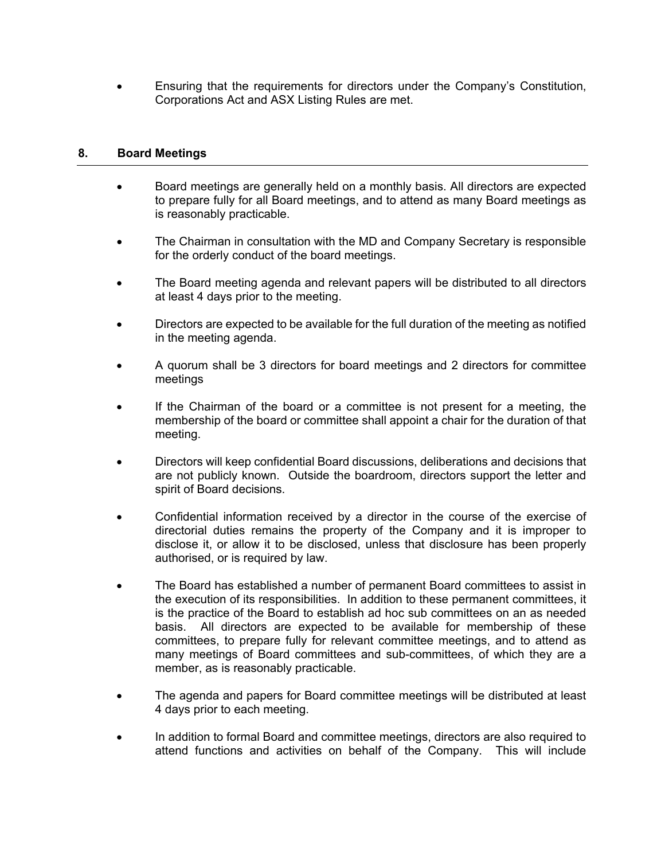• Ensuring that the requirements for directors under the Company's Constitution, Corporations Act and ASX Listing Rules are met.

### **8. Board Meetings**

- Board meetings are generally held on a monthly basis. All directors are expected to prepare fully for all Board meetings, and to attend as many Board meetings as is reasonably practicable.
- The Chairman in consultation with the MD and Company Secretary is responsible for the orderly conduct of the board meetings.
- The Board meeting agenda and relevant papers will be distributed to all directors at least 4 days prior to the meeting.
- Directors are expected to be available for the full duration of the meeting as notified in the meeting agenda.
- A quorum shall be 3 directors for board meetings and 2 directors for committee meetings
- If the Chairman of the board or a committee is not present for a meeting, the membership of the board or committee shall appoint a chair for the duration of that meeting.
- Directors will keep confidential Board discussions, deliberations and decisions that are not publicly known. Outside the boardroom, directors support the letter and spirit of Board decisions.
- Confidential information received by a director in the course of the exercise of directorial duties remains the property of the Company and it is improper to disclose it, or allow it to be disclosed, unless that disclosure has been properly authorised, or is required by law.
- The Board has established a number of permanent Board committees to assist in the execution of its responsibilities. In addition to these permanent committees, it is the practice of the Board to establish ad hoc sub committees on an as needed basis. All directors are expected to be available for membership of these committees, to prepare fully for relevant committee meetings, and to attend as many meetings of Board committees and sub-committees, of which they are a member, as is reasonably practicable.
- The agenda and papers for Board committee meetings will be distributed at least 4 days prior to each meeting.
- In addition to formal Board and committee meetings, directors are also required to attend functions and activities on behalf of the Company. This will include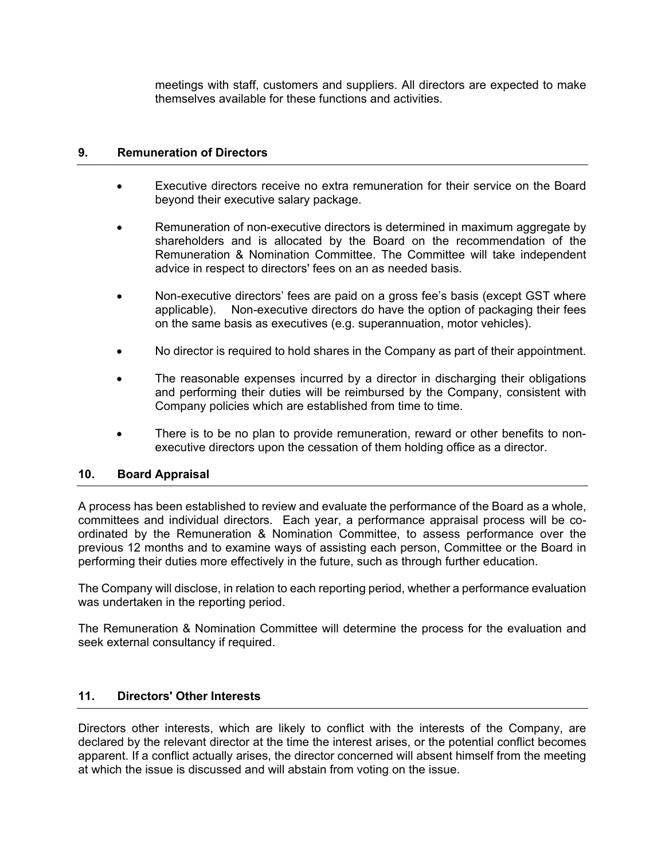meetings with staff, customers and suppliers. All directors are expected to make themselves available for these functions and activities.

### **9. Remuneration of Directors**

- Executive directors receive no extra remuneration for their service on the Board beyond their executive salary package.
- Remuneration of non-executive directors is determined in maximum aggregate by shareholders and is allocated by the Board on the recommendation of the Remuneration & Nomination Committee. The Committee will take independent advice in respect to directors' fees on an as needed basis.
- Non-executive directors' fees are paid on a gross fee's basis (except GST where applicable). Non-executive directors do have the option of packaging their fees on the same basis as executives (e.g. superannuation, motor vehicles).
- No director is required to hold shares in the Company as part of their appointment.
- The reasonable expenses incurred by a director in discharging their obligations and performing their duties will be reimbursed by the Company, consistent with Company policies which are established from time to time.
- There is to be no plan to provide remuneration, reward or other benefits to nonexecutive directors upon the cessation of them holding office as a director.

#### **10. Board Appraisal**

A process has been established to review and evaluate the performance of the Board as a whole, committees and individual directors. Each year, a performance appraisal process will be coordinated by the Remuneration & Nomination Committee, to assess performance over the previous 12 months and to examine ways of assisting each person, Committee or the Board in performing their duties more effectively in the future, such as through further education.

The Company will disclose, in relation to each reporting period, whether a performance evaluation was undertaken in the reporting period.

The Remuneration & Nomination Committee will determine the process for the evaluation and seek external consultancy if required.

# **11. Directors' Other Interests**

Directors other interests, which are likely to conflict with the interests of the Company, are declared by the relevant director at the time the interest arises, or the potential conflict becomes apparent. If a conflict actually arises, the director concerned will absent himself from the meeting at which the issue is discussed and will abstain from voting on the issue.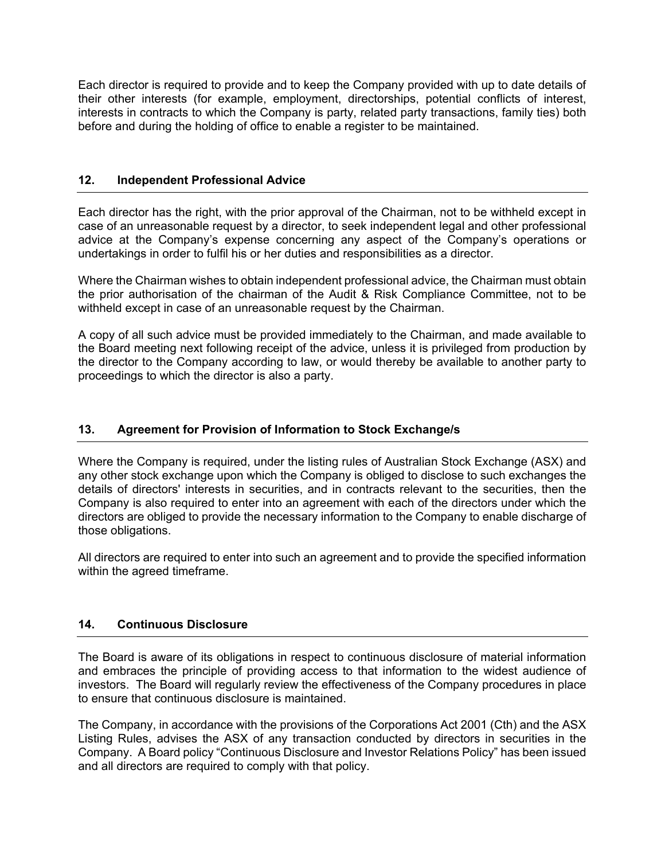Each director is required to provide and to keep the Company provided with up to date details of their other interests (for example, employment, directorships, potential conflicts of interest, interests in contracts to which the Company is party, related party transactions, family ties) both before and during the holding of office to enable a register to be maintained.

# **12. Independent Professional Advice**

Each director has the right, with the prior approval of the Chairman, not to be withheld except in case of an unreasonable request by a director, to seek independent legal and other professional advice at the Company's expense concerning any aspect of the Company's operations or undertakings in order to fulfil his or her duties and responsibilities as a director.

Where the Chairman wishes to obtain independent professional advice, the Chairman must obtain the prior authorisation of the chairman of the Audit & Risk Compliance Committee, not to be withheld except in case of an unreasonable request by the Chairman.

A copy of all such advice must be provided immediately to the Chairman, and made available to the Board meeting next following receipt of the advice, unless it is privileged from production by the director to the Company according to law, or would thereby be available to another party to proceedings to which the director is also a party.

# **13. Agreement for Provision of Information to Stock Exchange/s**

Where the Company is required, under the listing rules of Australian Stock Exchange (ASX) and any other stock exchange upon which the Company is obliged to disclose to such exchanges the details of directors' interests in securities, and in contracts relevant to the securities, then the Company is also required to enter into an agreement with each of the directors under which the directors are obliged to provide the necessary information to the Company to enable discharge of those obligations.

All directors are required to enter into such an agreement and to provide the specified information within the agreed timeframe.

# **14. Continuous Disclosure**

The Board is aware of its obligations in respect to continuous disclosure of material information and embraces the principle of providing access to that information to the widest audience of investors. The Board will regularly review the effectiveness of the Company procedures in place to ensure that continuous disclosure is maintained.

The Company, in accordance with the provisions of the Corporations Act 2001 (Cth) and the ASX Listing Rules, advises the ASX of any transaction conducted by directors in securities in the Company. A Board policy "Continuous Disclosure and Investor Relations Policy" has been issued and all directors are required to comply with that policy.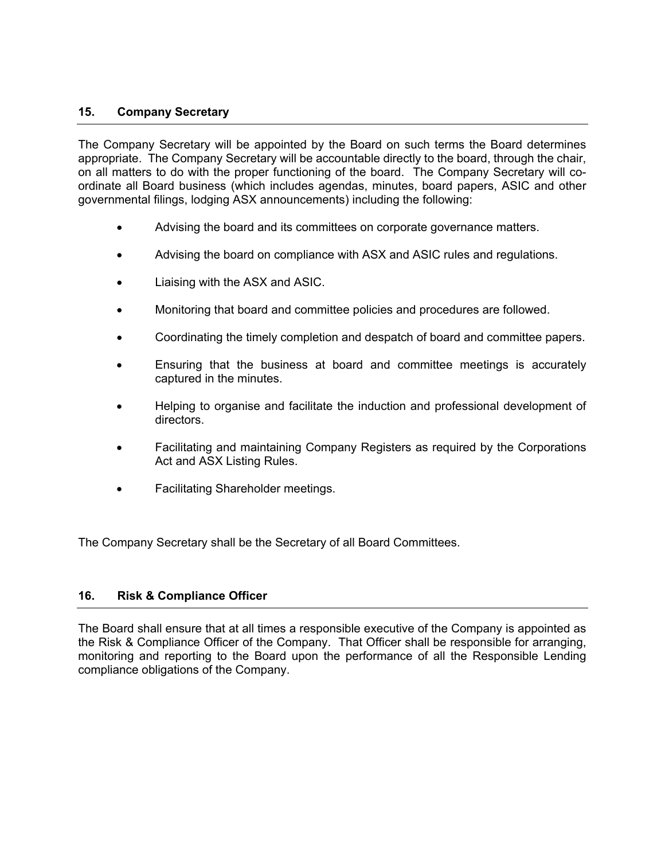### **15. Company Secretary**

The Company Secretary will be appointed by the Board on such terms the Board determines appropriate. The Company Secretary will be accountable directly to the board, through the chair, on all matters to do with the proper functioning of the board. The Company Secretary will coordinate all Board business (which includes agendas, minutes, board papers, ASIC and other governmental filings, lodging ASX announcements) including the following:

- Advising the board and its committees on corporate governance matters.
- Advising the board on compliance with ASX and ASIC rules and regulations.
- Liaising with the ASX and ASIC.
- Monitoring that board and committee policies and procedures are followed.
- Coordinating the timely completion and despatch of board and committee papers.
- Ensuring that the business at board and committee meetings is accurately captured in the minutes.
- Helping to organise and facilitate the induction and professional development of directors.
- Facilitating and maintaining Company Registers as required by the Corporations Act and ASX Listing Rules.
- Facilitating Shareholder meetings.

The Company Secretary shall be the Secretary of all Board Committees.

# **16. Risk & Compliance Officer**

The Board shall ensure that at all times a responsible executive of the Company is appointed as the Risk & Compliance Officer of the Company. That Officer shall be responsible for arranging, monitoring and reporting to the Board upon the performance of all the Responsible Lending compliance obligations of the Company.